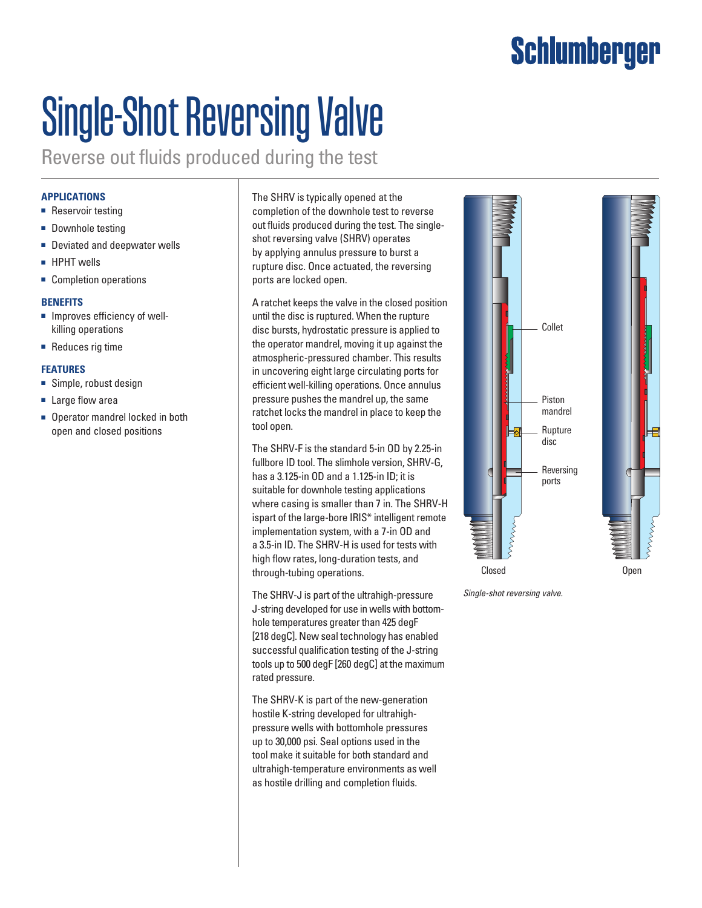## **Schlumberger**

# Single-Shot Reversing Valve

Reverse out fluids produced during the test

### **APPLICATIONS**

- Reservoir testing
- Downhole testing
- Deviated and deepwater wells
- HPHT wells
- Completion operations

#### **BENEFITS**

- Improves efficiency of wellkilling operations
- Reduces rig time

#### **FEATURES**

- Simple, robust design
- Large flow area
- Operator mandrel locked in both open and closed positions

The SHRV is typically opened at the completion of the downhole test to reverse out fluids produced during the test. The singleshot reversing valve (SHRV) operates by applying annulus pressure to burst a rupture disc. Once actuated, the reversing ports are locked open.

A ratchet keeps the valve in the closed position until the disc is ruptured. When the rupture disc bursts, hydrostatic pressure is applied to the operator mandrel, moving it up against the atmospheric-pressured chamber. This results in uncovering eight large circulating ports for efficient well-killing operations. Once annulus pressure pushes the mandrel up, the same ratchet locks the mandrel in place to keep the tool open.

The SHRV-F is the standard 5-in OD by 2.25-in fullbore ID tool. The slimhole version, SHRV-G. has a 3.125-in OD and a 1.125-in ID; it is suitable for downhole testing applications where casing is smaller than 7 in. The SHRV-H ispart of the large-bore IRIS\* intelligent remote implementation system, with a 7-in OD and a 3.5-in ID. The SHRV-H is used for tests with high flow rates, long-duration tests, and through-tubing operations.

The SHRV-J is part of the ultrahigh-pressure J-string developed for use in wells with bottomhole temperatures greater than 425 degF [218 degC]. New seal technology has enabled successful qualification testing of the J-string tools up to 500 degF [260 degC] at the maximum rated pressure.

The SHRV-K is part of the new-generation hostile K-string developed for ultrahighpressure wells with bottomhole pressures up to 30,000 psi. Seal options used in the tool make it suitable for both standard and ultrahigh-temperature environments as well as hostile drilling and completion fluids.



*Single-shot reversing valve.*